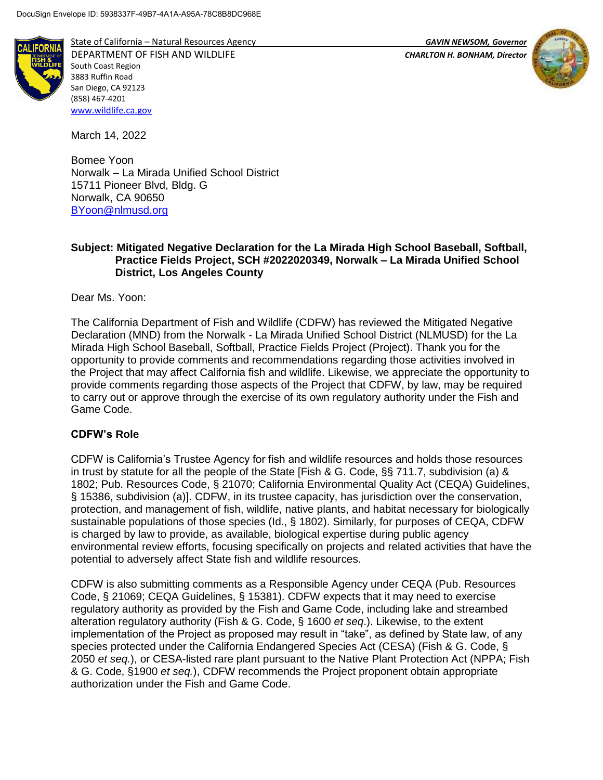

State of California – Natural Resources Agency *GAVIN NEWSOM, Governor*

DEPARTMENT OF FISH AND WILDLIFE *CHARLTON H. BONHAM, Director*  South Coast Region 3883 Ruffin Road San Diego, CA 92123 (858) 467-4201 [www.wildlife.ca.gov](http://www.wildlife.ca.gov/)

March 14, 2022

Bomee Yoon Norwalk – La Mirada Unified School District 15711 Pioneer Blvd, Bldg. G Norwalk, CA 90650 [BYoon@nlmusd.org](mailto:BYoon@nlmusd.org)

## **Subject: Mitigated Negative Declaration for the La Mirada High School Baseball, Softball, Practice Fields Project, SCH #2022020349, Norwalk – La Mirada Unified School District, Los Angeles County**

Dear Ms. Yoon:

The California Department of Fish and Wildlife (CDFW) has reviewed the Mitigated Negative Declaration (MND) from the Norwalk - La Mirada Unified School District (NLMUSD) for the La Mirada High School Baseball, Softball, Practice Fields Project (Project). Thank you for the opportunity to provide comments and recommendations regarding those activities involved in the Project that may affect California fish and wildlife. Likewise, we appreciate the opportunity to provide comments regarding those aspects of the Project that CDFW, by law, may be required to carry out or approve through the exercise of its own regulatory authority under the Fish and Game Code.

# **CDFW's Role**

CDFW is California's Trustee Agency for fish and wildlife resources and holds those resources in trust by statute for all the people of the State [Fish & G. Code, §§ 711.7, subdivision (a) & 1802; Pub. Resources Code, § 21070; California Environmental Quality Act (CEQA) Guidelines, § 15386, subdivision (a)]. CDFW, in its trustee capacity, has jurisdiction over the conservation, protection, and management of fish, wildlife, native plants, and habitat necessary for biologically sustainable populations of those species (Id., § 1802). Similarly, for purposes of CEQA, CDFW is charged by law to provide, as available, biological expertise during public agency environmental review efforts, focusing specifically on projects and related activities that have the potential to adversely affect State fish and wildlife resources.

CDFW is also submitting comments as a Responsible Agency under CEQA (Pub. Resources Code, § 21069; CEQA Guidelines, § 15381). CDFW expects that it may need to exercise regulatory authority as provided by the Fish and Game Code, including lake and streambed alteration regulatory authority (Fish & G. Code, § 1600 *et seq*.). Likewise, to the extent implementation of the Project as proposed may result in "take", as defined by State law, of any species protected under the California Endangered Species Act (CESA) (Fish & G. Code, § 2050 *et seq.*), or CESA-listed rare plant pursuant to the Native Plant Protection Act (NPPA; Fish & G. Code, §1900 *et seq.*), CDFW recommends the Project proponent obtain appropriate authorization under the Fish and Game Code.

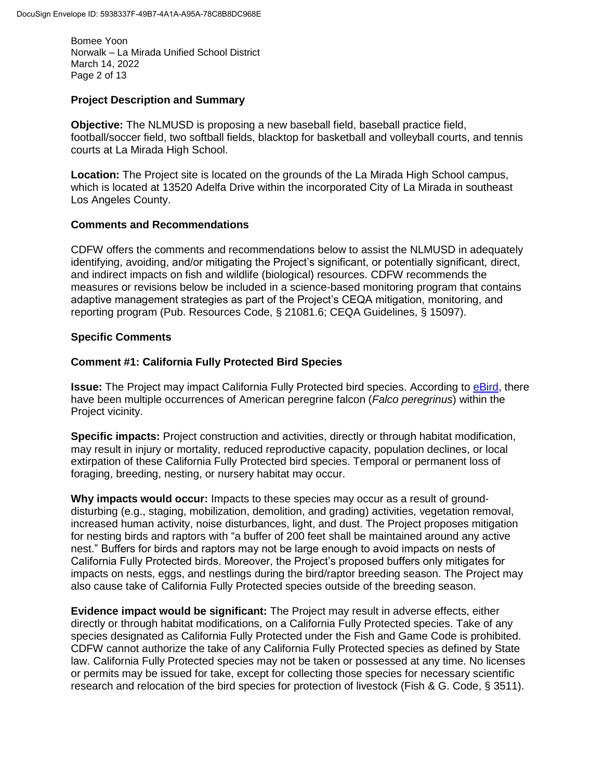Bomee Yoon Norwalk – La Mirada Unified School District March 14, 2022 Page 2 of 13

### **Project Description and Summary**

**Objective:** The NLMUSD is proposing a new baseball field, baseball practice field, football/soccer field, two softball fields, blacktop for basketball and volleyball courts, and tennis courts at La Mirada High School.

**Location:** The Project site is located on the grounds of the La Mirada High School campus, which is located at 13520 Adelfa Drive within the incorporated City of La Mirada in southeast Los Angeles County.

## **Comments and Recommendations**

CDFW offers the comments and recommendations below to assist the NLMUSD in adequately identifying, avoiding, and/or mitigating the Project's significant, or potentially significant, direct, and indirect impacts on fish and wildlife (biological) resources. CDFW recommends the measures or revisions below be included in a science-based monitoring program that contains adaptive management strategies as part of the Project's CEQA mitigation, monitoring, and reporting program (Pub. Resources Code, § 21081.6; CEQA Guidelines, § 15097).

## **Specific Comments**

## **Comment #1: California Fully Protected Bird Species**

**Issue:** The Project may impact California Fully Protected bird species. According to [eBird,](https://ebird.org/hotspot/L1308961) there have been multiple occurrences of American peregrine falcon (*Falco peregrinus*) within the Project vicinity.

**Specific impacts:** Project construction and activities, directly or through habitat modification, may result in injury or mortality, reduced reproductive capacity, population declines, or local extirpation of these California Fully Protected bird species. Temporal or permanent loss of foraging, breeding, nesting, or nursery habitat may occur.

**Why impacts would occur:** Impacts to these species may occur as a result of grounddisturbing (e.g., staging, mobilization, demolition, and grading) activities, vegetation removal, increased human activity, noise disturbances, light, and dust. The Project proposes mitigation for nesting birds and raptors with "a buffer of 200 feet shall be maintained around any active nest." Buffers for birds and raptors may not be large enough to avoid impacts on nests of California Fully Protected birds. Moreover, the Project's proposed buffers only mitigates for impacts on nests, eggs, and nestlings during the bird/raptor breeding season. The Project may also cause take of California Fully Protected species outside of the breeding season.

**Evidence impact would be significant:** The Project may result in adverse effects, either directly or through habitat modifications, on a California Fully Protected species. Take of any species designated as California Fully Protected under the Fish and Game Code is prohibited. CDFW cannot authorize the take of any California Fully Protected species as defined by State law. California Fully Protected species may not be taken or possessed at any time. No licenses or permits may be issued for take, except for collecting those species for necessary scientific research and relocation of the bird species for protection of livestock (Fish & G. Code, § 3511).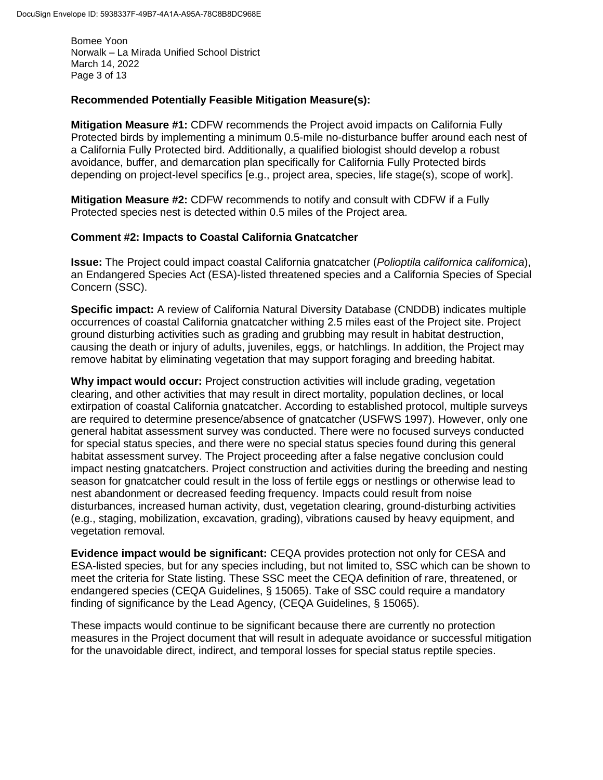Bomee Yoon Norwalk – La Mirada Unified School District March 14, 2022 Page 3 of 13

#### **Recommended Potentially Feasible Mitigation Measure(s):**

**Mitigation Measure #1:** CDFW recommends the Project avoid impacts on California Fully Protected birds by implementing a minimum 0.5-mile no-disturbance buffer around each nest of a California Fully Protected bird. Additionally, a qualified biologist should develop a robust avoidance, buffer, and demarcation plan specifically for California Fully Protected birds depending on project-level specifics [e.g., project area, species, life stage(s), scope of work].

**Mitigation Measure #2:** CDFW recommends to notify and consult with CDFW if a Fully Protected species nest is detected within 0.5 miles of the Project area.

#### **Comment #2: Impacts to Coastal California Gnatcatcher**

**Issue:** The Project could impact coastal California gnatcatcher (*Polioptila californica californica*), an Endangered Species Act (ESA)-listed threatened species and a California Species of Special Concern (SSC).

**Specific impact:** A review of California Natural Diversity Database (CNDDB) indicates multiple occurrences of coastal California gnatcatcher withing 2.5 miles east of the Project site. Project ground disturbing activities such as grading and grubbing may result in habitat destruction, causing the death or injury of adults, juveniles, eggs, or hatchlings. In addition, the Project may remove habitat by eliminating vegetation that may support foraging and breeding habitat.

**Why impact would occur:** Project construction activities will include grading, vegetation clearing, and other activities that may result in direct mortality, population declines, or local extirpation of coastal California gnatcatcher. According to established protocol, multiple surveys are required to determine presence/absence of gnatcatcher (USFWS 1997). However, only one general habitat assessment survey was conducted. There were no focused surveys conducted for special status species, and there were no special status species found during this general habitat assessment survey. The Project proceeding after a false negative conclusion could impact nesting gnatcatchers. Project construction and activities during the breeding and nesting season for gnatcatcher could result in the loss of fertile eggs or nestlings or otherwise lead to nest abandonment or decreased feeding frequency. Impacts could result from noise disturbances, increased human activity, dust, vegetation clearing, ground-disturbing activities (e.g., staging, mobilization, excavation, grading), vibrations caused by heavy equipment, and vegetation removal.

**Evidence impact would be significant:** CEQA provides protection not only for CESA and ESA-listed species, but for any species including, but not limited to, SSC which can be shown to meet the criteria for State listing. These SSC meet the CEQA definition of rare, threatened, or endangered species (CEQA Guidelines, § 15065). Take of SSC could require a mandatory finding of significance by the Lead Agency, (CEQA Guidelines, § 15065).

These impacts would continue to be significant because there are currently no protection measures in the Project document that will result in adequate avoidance or successful mitigation for the unavoidable direct, indirect, and temporal losses for special status reptile species.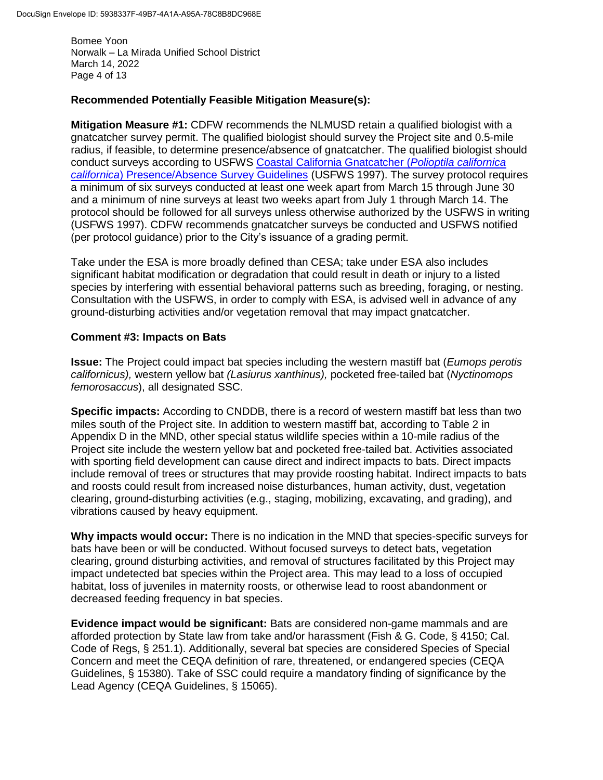Bomee Yoon Norwalk – La Mirada Unified School District March 14, 2022 Page 4 of 13

## **Recommended Potentially Feasible Mitigation Measure(s):**

**Mitigation Measure #1:** CDFW recommends the NLMUSD retain a qualified biologist with a gnatcatcher survey permit. The qualified biologist should survey the Project site and 0.5-mile radius, if feasible, to determine presence/absence of gnatcatcher. The qualified biologist should conduct surveys according to USFWS [Coastal California Gnatcatcher \(](https://www.fws.gov/ventura/docs/species/protocols/cagn/coastal-gnatcatcher_survey-guidelines.pdf)*Polioptila californica californica*[\) Presence/Absence Survey Guidelines](https://www.fws.gov/ventura/docs/species/protocols/cagn/coastal-gnatcatcher_survey-guidelines.pdf) (USFWS 1997). The survey protocol requires a minimum of six surveys conducted at least one week apart from March 15 through June 30 and a minimum of nine surveys at least two weeks apart from July 1 through March 14. The protocol should be followed for all surveys unless otherwise authorized by the USFWS in writing (USFWS 1997). CDFW recommends gnatcatcher surveys be conducted and USFWS notified (per protocol guidance) prior to the City's issuance of a grading permit.

Take under the ESA is more broadly defined than CESA; take under ESA also includes significant habitat modification or degradation that could result in death or injury to a listed species by interfering with essential behavioral patterns such as breeding, foraging, or nesting. Consultation with the USFWS, in order to comply with ESA, is advised well in advance of any ground-disturbing activities and/or vegetation removal that may impact gnatcatcher.

#### **Comment #3: Impacts on Bats**

**Issue:** The Project could impact bat species including the western mastiff bat (*Eumops perotis californicus),* western yellow bat *(Lasiurus xanthinus),* pocketed free-tailed bat (*Nyctinomops femorosaccus*), all designated SSC.

**Specific impacts:** According to CNDDB, there is a record of western mastiff bat less than two miles south of the Project site. In addition to western mastiff bat, according to Table 2 in Appendix D in the MND, other special status wildlife species within a 10-mile radius of the Project site include the western yellow bat and pocketed free-tailed bat. Activities associated with sporting field development can cause direct and indirect impacts to bats. Direct impacts include removal of trees or structures that may provide roosting habitat. Indirect impacts to bats and roosts could result from increased noise disturbances, human activity, dust, vegetation clearing, ground-disturbing activities (e.g., staging, mobilizing, excavating, and grading), and vibrations caused by heavy equipment.

**Why impacts would occur:** There is no indication in the MND that species-specific surveys for bats have been or will be conducted. Without focused surveys to detect bats, vegetation clearing, ground disturbing activities, and removal of structures facilitated by this Project may impact undetected bat species within the Project area. This may lead to a loss of occupied habitat, loss of juveniles in maternity roosts, or otherwise lead to roost abandonment or decreased feeding frequency in bat species.

**Evidence impact would be significant:** Bats are considered non-game mammals and are afforded protection by State law from take and/or harassment (Fish & G. Code, § 4150; Cal. Code of Regs, § 251.1). Additionally, several bat species are considered Species of Special Concern and meet the CEQA definition of rare, threatened, or endangered species (CEQA Guidelines, § 15380). Take of SSC could require a mandatory finding of significance by the Lead Agency (CEQA Guidelines, § 15065).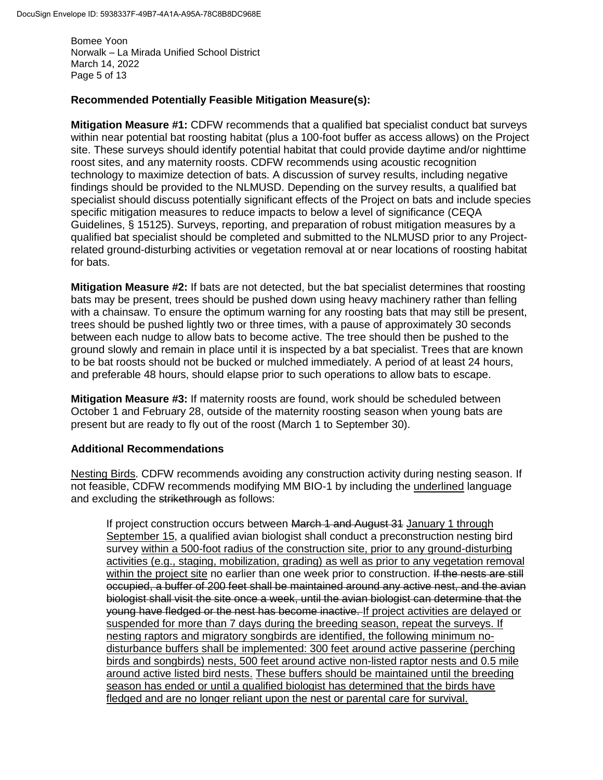Bomee Yoon Norwalk – La Mirada Unified School District March 14, 2022 Page 5 of 13

## **Recommended Potentially Feasible Mitigation Measure(s):**

**Mitigation Measure #1:** CDFW recommends that a qualified bat specialist conduct bat surveys within near potential bat roosting habitat (plus a 100-foot buffer as access allows) on the Project site. These surveys should identify potential habitat that could provide daytime and/or nighttime roost sites, and any maternity roosts. CDFW recommends using acoustic recognition technology to maximize detection of bats. A discussion of survey results, including negative findings should be provided to the NLMUSD. Depending on the survey results, a qualified bat specialist should discuss potentially significant effects of the Project on bats and include species specific mitigation measures to reduce impacts to below a level of significance (CEQA Guidelines, § 15125). Surveys, reporting, and preparation of robust mitigation measures by a qualified bat specialist should be completed and submitted to the NLMUSD prior to any Projectrelated ground-disturbing activities or vegetation removal at or near locations of roosting habitat for bats.

**Mitigation Measure #2:** If bats are not detected, but the bat specialist determines that roosting bats may be present, trees should be pushed down using heavy machinery rather than felling with a chainsaw. To ensure the optimum warning for any roosting bats that may still be present, trees should be pushed lightly two or three times, with a pause of approximately 30 seconds between each nudge to allow bats to become active. The tree should then be pushed to the ground slowly and remain in place until it is inspected by a bat specialist. Trees that are known to be bat roosts should not be bucked or mulched immediately. A period of at least 24 hours, and preferable 48 hours, should elapse prior to such operations to allow bats to escape.

**Mitigation Measure #3:** If maternity roosts are found, work should be scheduled between October 1 and February 28, outside of the maternity roosting season when young bats are present but are ready to fly out of the roost (March 1 to September 30).

#### **Additional Recommendations**

Nesting Birds. CDFW recommends avoiding any construction activity during nesting season. If not feasible, CDFW recommends modifying MM BIO-1 by including the underlined language and excluding the strikethrough as follows:

If project construction occurs between March 1 and August 31 January 1 through September 15, a qualified avian biologist shall conduct a preconstruction nesting bird survey within a 500-foot radius of the construction site, prior to any ground-disturbing activities (e.g., staging, mobilization, grading) as well as prior to any vegetation removal within the project site no earlier than one week prior to construction. If the nests are still occupied, a buffer of 200 feet shall be maintained around any active nest, and the avian biologist shall visit the site once a week, until the avian biologist can determine that the young have fledged or the nest has become inactive. If project activities are delayed or suspended for more than 7 days during the breeding season, repeat the surveys. If nesting raptors and migratory songbirds are identified, the following minimum nodisturbance buffers shall be implemented: 300 feet around active passerine (perching birds and songbirds) nests, 500 feet around active non-listed raptor nests and 0.5 mile around active listed bird nests. These buffers should be maintained until the breeding season has ended or until a qualified biologist has determined that the birds have fledged and are no longer reliant upon the nest or parental care for survival.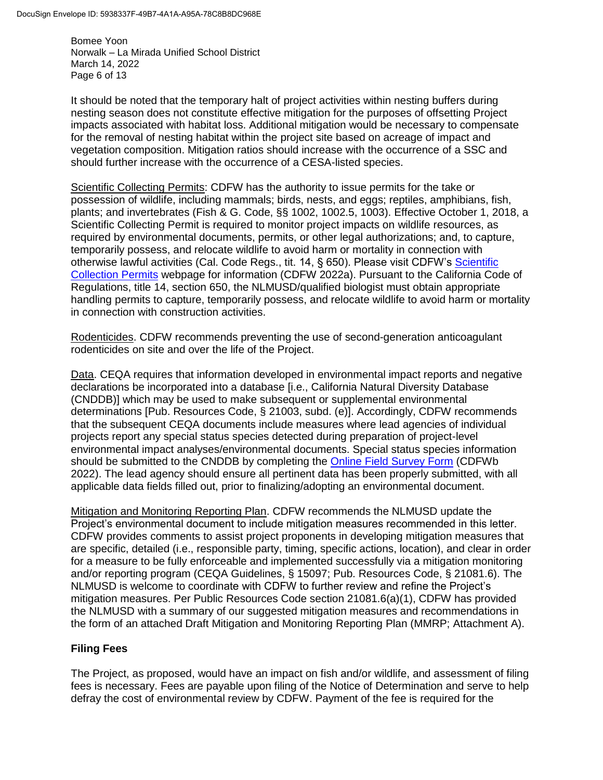Bomee Yoon Norwalk – La Mirada Unified School District March 14, 2022 Page 6 of 13

It should be noted that the temporary halt of project activities within nesting buffers during nesting season does not constitute effective mitigation for the purposes of offsetting Project impacts associated with habitat loss. Additional mitigation would be necessary to compensate for the removal of nesting habitat within the project site based on acreage of impact and vegetation composition. Mitigation ratios should increase with the occurrence of a SSC and should further increase with the occurrence of a CESA-listed species.

Scientific Collecting Permits: CDFW has the authority to issue permits for the take or possession of wildlife, including mammals; birds, nests, and eggs; reptiles, amphibians, fish, plants; and invertebrates (Fish & G. Code, §§ 1002, 1002.5, 1003). Effective October 1, 2018, a Scientific Collecting Permit is required to monitor project impacts on wildlife resources, as required by environmental documents, permits, or other legal authorizations; and, to capture, temporarily possess, and relocate wildlife to avoid harm or mortality in connection with otherwise lawful activities (Cal. Code Regs., tit. 14, § 650). Please visit CDFW's [Scientific](https://wildlife.ca.gov/Licensing/Scientific-Collecting#53949678)  [Collection Permits](https://wildlife.ca.gov/Licensing/Scientific-Collecting#53949678) webpage for information (CDFW 2022a). Pursuant to the California Code of Regulations, title 14, section 650, the NLMUSD/qualified biologist must obtain appropriate handling permits to capture, temporarily possess, and relocate wildlife to avoid harm or mortality in connection with construction activities.

Rodenticides. CDFW recommends preventing the use of second-generation anticoagulant rodenticides on site and over the life of the Project.

Data. CEQA requires that information developed in environmental impact reports and negative declarations be incorporated into a database [i.e., California Natural Diversity Database (CNDDB)] which may be used to make subsequent or supplemental environmental determinations [Pub. Resources Code, § 21003, subd. (e)]. Accordingly, CDFW recommends that the subsequent CEQA documents include measures where lead agencies of individual projects report any special status species detected during preparation of project-level environmental impact analyses/environmental documents. Special status species information should be submitted to the CNDDB by completing the [Online Field Survey Form](https://wildlife.ca.gov/Data/CNDDB/Submitting-Data) (CDFWb 2022). The lead agency should ensure all pertinent data has been properly submitted, with all applicable data fields filled out, prior to finalizing/adopting an environmental document.

Mitigation and Monitoring Reporting Plan. CDFW recommends the NLMUSD update the Project's environmental document to include mitigation measures recommended in this letter. CDFW provides comments to assist project proponents in developing mitigation measures that are specific, detailed (i.e., responsible party, timing, specific actions, location), and clear in order for a measure to be fully enforceable and implemented successfully via a mitigation monitoring and/or reporting program (CEQA Guidelines, § 15097; Pub. Resources Code, § 21081.6). The NLMUSD is welcome to coordinate with CDFW to further review and refine the Project's mitigation measures. Per Public Resources Code section 21081.6(a)(1), CDFW has provided the NLMUSD with a summary of our suggested mitigation measures and recommendations in the form of an attached Draft Mitigation and Monitoring Reporting Plan (MMRP; Attachment A).

# **Filing Fees**

The Project, as proposed, would have an impact on fish and/or wildlife, and assessment of filing fees is necessary. Fees are payable upon filing of the Notice of Determination and serve to help defray the cost of environmental review by CDFW. Payment of the fee is required for the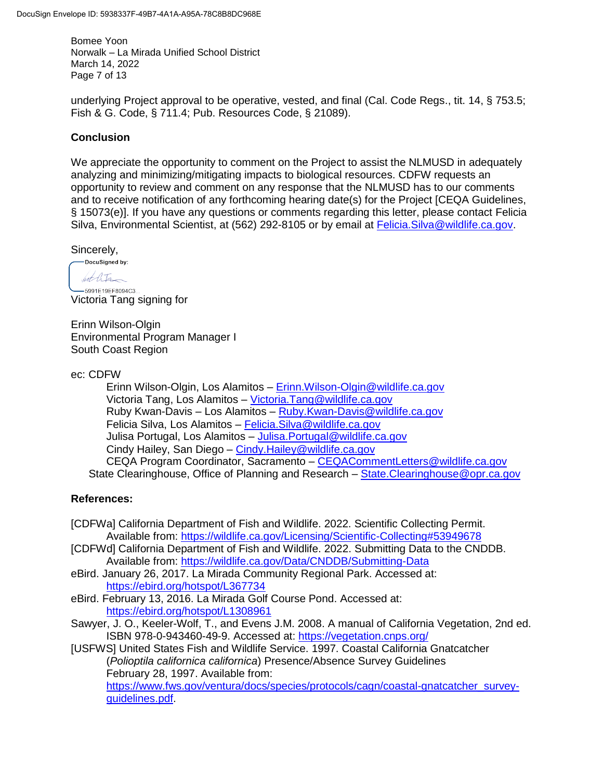Bomee Yoon Norwalk – La Mirada Unified School District March 14, 2022 Page 7 of 13

underlying Project approval to be operative, vested, and final (Cal. Code Regs., tit. 14, § 753.5; Fish & G. Code, § 711.4; Pub. Resources Code, § 21089).

# **Conclusion**

We appreciate the opportunity to comment on the Project to assist the NLMUSD in adequately analyzing and minimizing/mitigating impacts to biological resources. CDFW requests an opportunity to review and comment on any response that the NLMUSD has to our comments and to receive notification of any forthcoming hearing date(s) for the Project [CEQA Guidelines, § 15073(e)]. If you have any questions or comments regarding this letter, please contact Felicia Silva, Environmental Scientist, at (562) 292-8105 or by email at *Felicia.Silva@wildlife.ca.gov.* 

 $Sincerely,$ <br>  $Docusigned by:$ 

hot life

-5991E19EF8094C3... Victoria Tang signing for

Erinn Wilson-Olgin Environmental Program Manager I South Coast Region

ec: CDFW

Erinn Wilson-Olgin, Los Alamitos – [Erinn.Wilson-Olgin@wildlife.ca.gov](mailto:Erinn.Wilson-Olgin@wildlife.ca.gov) Victoria Tang, Los Alamitos – [Victoria.Tang@wildlife.ca.gov](mailto:Victoria.Tang@wildlife.ca.gov) Ruby Kwan-Davis – Los Alamitos – [Ruby.Kwan-Davis@wildlife.ca.gov](mailto:Ruby.Kwan-Davis@wildlife.ca.gov) Felicia Silva, Los Alamitos – [Felicia.Silva@wildlife.ca.gov](mailto:Felicia.Silva@wildlife.ca.gov) Julisa Portugal, Los Alamitos - Julisa. Portugal@wildlife.ca.gov Cindy Hailey, San Diego – [Cindy.Hailey@wildlife.ca.gov](mailto:Cindy.Hailey@wildlife.ca.gov) CEQA Program Coordinator, Sacramento – [CEQACommentLetters@wildlife.ca.gov](mailto:CEQACommentLetters@wildlife.ca.gov)  State Clearinghouse, Office of Planning and Research – [State.Clearinghouse@opr.ca.gov](mailto:State.Clearinghouse@opr.ca.gov)

# **References:**

- [CDFWa] California Department of Fish and Wildlife. 2022. Scientific Collecting Permit. Available from:<https://wildlife.ca.gov/Licensing/Scientific-Collecting#53949678>
- [CDFWd] California Department of Fish and Wildlife. 2022. Submitting Data to the CNDDB. Available from:<https://wildlife.ca.gov/Data/CNDDB/Submitting-Data>
- eBird. January 26, 2017. La Mirada Community Regional Park. Accessed at: <https://ebird.org/hotspot/L367734>
- eBird. February 13, 2016. La Mirada Golf Course Pond. Accessed at: <https://ebird.org/hotspot/L1308961>
- Sawyer, J. O., Keeler-Wolf, T., and Evens J.M. 2008. A manual of California Vegetation, 2nd ed. ISBN 978-0-943460-49-9. Accessed at:<https://vegetation.cnps.org/>

[USFWS] United States Fish and Wildlife Service. 1997. Coastal California Gnatcatcher (*Polioptila californica californica*) Presence/Absence Survey Guidelines February 28, 1997. Available from:

[https://www.fws.gov/ventura/docs/species/protocols/cagn/coastal-gnatcatcher\\_survey](https://www.fws.gov/ventura/docs/species/protocols/cagn/coastal-gnatcatcher_survey-guidelines.pdf)[guidelines.pdf.](https://www.fws.gov/ventura/docs/species/protocols/cagn/coastal-gnatcatcher_survey-guidelines.pdf)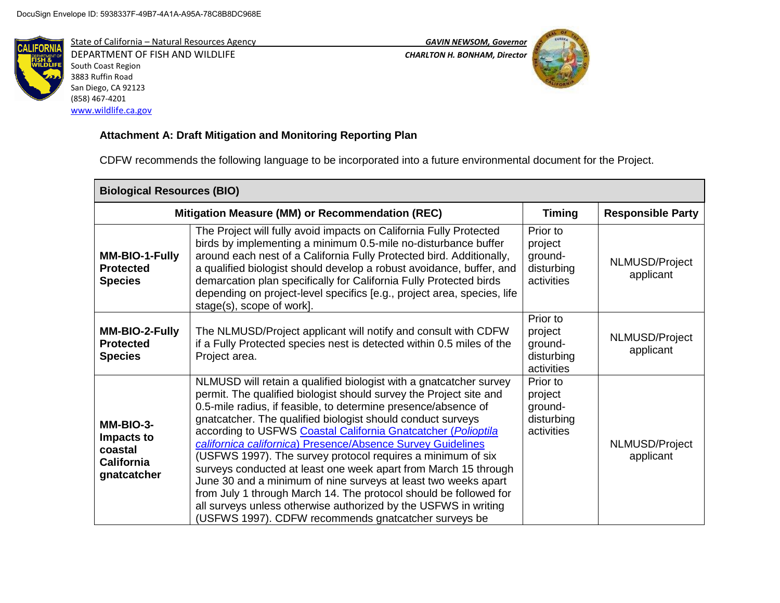

State of California – Natural Resources Agency *GAVIN NEWSOM, Governor* DEPARTMENT OF FISH AND WILDLIFE *CHARLTON H. BONHAM, Director*  South Coast Region 3883 Ruffin Road San Diego, CA 92123 (858) 467-4201 [www.wildlife.ca.gov](http://www.wildlife.ca.gov/)





# **Attachment A: Draft Mitigation and Monitoring Reporting Plan**

CDFW recommends the following language to be incorporated into a future environmental document for the Project.

| <b>Biological Resources (BIO)</b>                                      |                                                                                                                                                                                                                                                                                                                                                                                                                                                                                                                                                                                                                                                                                                                                                                                                               |                                                            |                             |
|------------------------------------------------------------------------|---------------------------------------------------------------------------------------------------------------------------------------------------------------------------------------------------------------------------------------------------------------------------------------------------------------------------------------------------------------------------------------------------------------------------------------------------------------------------------------------------------------------------------------------------------------------------------------------------------------------------------------------------------------------------------------------------------------------------------------------------------------------------------------------------------------|------------------------------------------------------------|-----------------------------|
|                                                                        | Mitigation Measure (MM) or Recommendation (REC)                                                                                                                                                                                                                                                                                                                                                                                                                                                                                                                                                                                                                                                                                                                                                               | <b>Timing</b>                                              | <b>Responsible Party</b>    |
| MM-BIO-1-Fully<br><b>Protected</b><br><b>Species</b>                   | The Project will fully avoid impacts on California Fully Protected<br>birds by implementing a minimum 0.5-mile no-disturbance buffer<br>around each nest of a California Fully Protected bird. Additionally,<br>a qualified biologist should develop a robust avoidance, buffer, and<br>demarcation plan specifically for California Fully Protected birds<br>depending on project-level specifics [e.g., project area, species, life<br>stage(s), scope of work].                                                                                                                                                                                                                                                                                                                                            | Prior to<br>project<br>ground-<br>disturbing<br>activities | NLMUSD/Project<br>applicant |
| MM-BIO-2-Fully<br><b>Protected</b><br><b>Species</b>                   | The NLMUSD/Project applicant will notify and consult with CDFW<br>if a Fully Protected species nest is detected within 0.5 miles of the<br>Project area.                                                                                                                                                                                                                                                                                                                                                                                                                                                                                                                                                                                                                                                      | Prior to<br>project<br>ground-<br>disturbing<br>activities | NLMUSD/Project<br>applicant |
| MM-BIO-3-<br>Impacts to<br>coastal<br><b>California</b><br>gnatcatcher | NLMUSD will retain a qualified biologist with a gnatcatcher survey<br>permit. The qualified biologist should survey the Project site and<br>0.5-mile radius, if feasible, to determine presence/absence of<br>gnatcatcher. The qualified biologist should conduct surveys<br>according to USFWS Coastal California Gnatcatcher (Polioptila<br>californica californica) Presence/Absence Survey Guidelines<br>(USFWS 1997). The survey protocol requires a minimum of six<br>surveys conducted at least one week apart from March 15 through<br>June 30 and a minimum of nine surveys at least two weeks apart<br>from July 1 through March 14. The protocol should be followed for<br>all surveys unless otherwise authorized by the USFWS in writing<br>(USFWS 1997). CDFW recommends gnatcatcher surveys be | Prior to<br>project<br>ground-<br>disturbing<br>activities | NLMUSD/Project<br>applicant |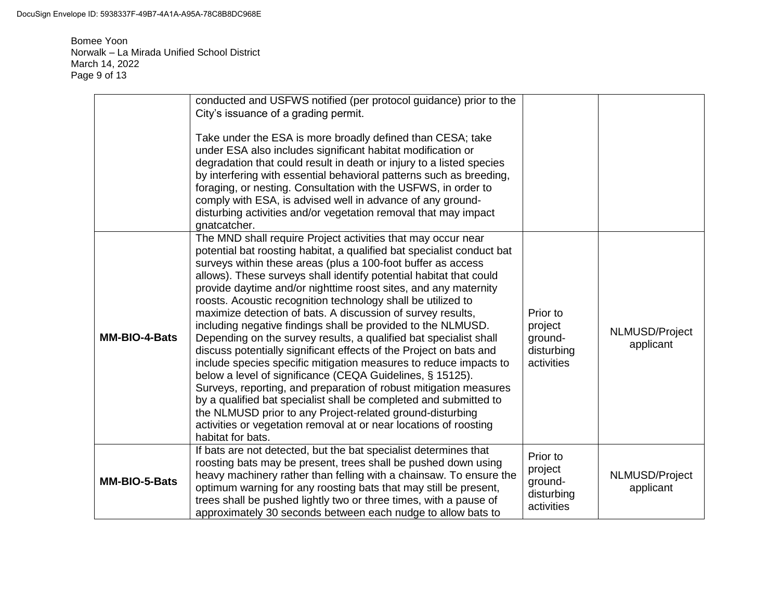Bomee Yoon Norwalk – La Mirada Unified School District March 14, 2022 Page 9 of 13

|               | conducted and USFWS notified (per protocol guidance) prior to the<br>City's issuance of a grading permit.<br>Take under the ESA is more broadly defined than CESA; take<br>under ESA also includes significant habitat modification or<br>degradation that could result in death or injury to a listed species<br>by interfering with essential behavioral patterns such as breeding,<br>foraging, or nesting. Consultation with the USFWS, in order to<br>comply with ESA, is advised well in advance of any ground-<br>disturbing activities and/or vegetation removal that may impact<br>gnatcatcher.                                                                                                                                                                                                                                                                                                                                                                                                                                                                                                                     |                                                            |                             |
|---------------|------------------------------------------------------------------------------------------------------------------------------------------------------------------------------------------------------------------------------------------------------------------------------------------------------------------------------------------------------------------------------------------------------------------------------------------------------------------------------------------------------------------------------------------------------------------------------------------------------------------------------------------------------------------------------------------------------------------------------------------------------------------------------------------------------------------------------------------------------------------------------------------------------------------------------------------------------------------------------------------------------------------------------------------------------------------------------------------------------------------------------|------------------------------------------------------------|-----------------------------|
| MM-BIO-4-Bats | The MND shall require Project activities that may occur near<br>potential bat roosting habitat, a qualified bat specialist conduct bat<br>surveys within these areas (plus a 100-foot buffer as access<br>allows). These surveys shall identify potential habitat that could<br>provide daytime and/or nighttime roost sites, and any maternity<br>roosts. Acoustic recognition technology shall be utilized to<br>maximize detection of bats. A discussion of survey results,<br>including negative findings shall be provided to the NLMUSD.<br>Depending on the survey results, a qualified bat specialist shall<br>discuss potentially significant effects of the Project on bats and<br>include species specific mitigation measures to reduce impacts to<br>below a level of significance (CEQA Guidelines, § 15125).<br>Surveys, reporting, and preparation of robust mitigation measures<br>by a qualified bat specialist shall be completed and submitted to<br>the NLMUSD prior to any Project-related ground-disturbing<br>activities or vegetation removal at or near locations of roosting<br>habitat for bats. | Prior to<br>project<br>ground-<br>disturbing<br>activities | NLMUSD/Project<br>applicant |
| MM-BIO-5-Bats | If bats are not detected, but the bat specialist determines that<br>roosting bats may be present, trees shall be pushed down using<br>heavy machinery rather than felling with a chainsaw. To ensure the<br>optimum warning for any roosting bats that may still be present,<br>trees shall be pushed lightly two or three times, with a pause of<br>approximately 30 seconds between each nudge to allow bats to                                                                                                                                                                                                                                                                                                                                                                                                                                                                                                                                                                                                                                                                                                            | Prior to<br>project<br>ground-<br>disturbing<br>activities | NLMUSD/Project<br>applicant |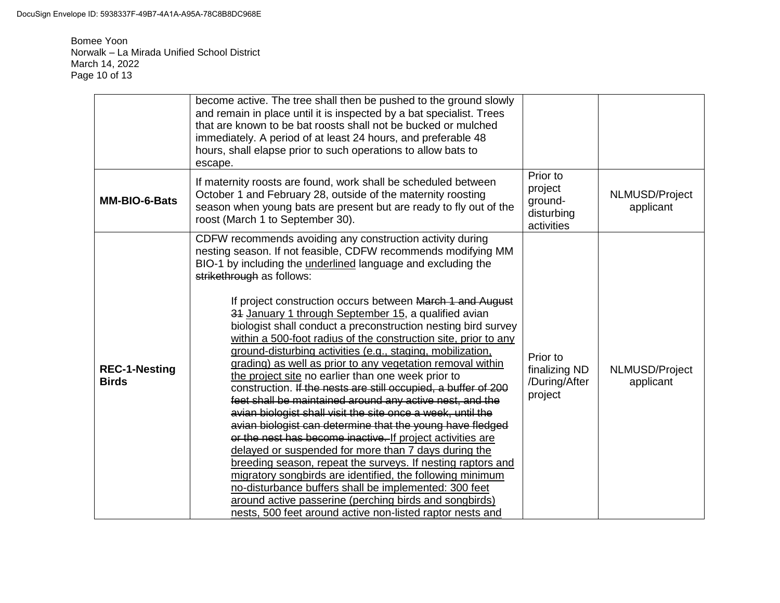Bomee Yoon Norwalk – La Mirada Unified School District March 14, 2022 Page 10 of 13

|                                      | become active. The tree shall then be pushed to the ground slowly<br>and remain in place until it is inspected by a bat specialist. Trees<br>that are known to be bat roosts shall not be bucked or mulched<br>immediately. A period of at least 24 hours, and preferable 48<br>hours, shall elapse prior to such operations to allow bats to<br>escape.                                                                                                                                                                                                                                                                                                                                                                                                                                                                                                                                                                                                                                                                                                                                                                                                                                                                                                                                                                                                       |                                                            |                             |
|--------------------------------------|----------------------------------------------------------------------------------------------------------------------------------------------------------------------------------------------------------------------------------------------------------------------------------------------------------------------------------------------------------------------------------------------------------------------------------------------------------------------------------------------------------------------------------------------------------------------------------------------------------------------------------------------------------------------------------------------------------------------------------------------------------------------------------------------------------------------------------------------------------------------------------------------------------------------------------------------------------------------------------------------------------------------------------------------------------------------------------------------------------------------------------------------------------------------------------------------------------------------------------------------------------------------------------------------------------------------------------------------------------------|------------------------------------------------------------|-----------------------------|
| MM-BIO-6-Bats                        | If maternity roosts are found, work shall be scheduled between<br>October 1 and February 28, outside of the maternity roosting<br>season when young bats are present but are ready to fly out of the<br>roost (March 1 to September 30).                                                                                                                                                                                                                                                                                                                                                                                                                                                                                                                                                                                                                                                                                                                                                                                                                                                                                                                                                                                                                                                                                                                       | Prior to<br>project<br>ground-<br>disturbing<br>activities | NLMUSD/Project<br>applicant |
| <b>REC-1-Nesting</b><br><b>Birds</b> | CDFW recommends avoiding any construction activity during<br>nesting season. If not feasible, CDFW recommends modifying MM<br>BIO-1 by including the underlined language and excluding the<br>strikethrough as follows:<br>If project construction occurs between March 1 and August<br>34 January 1 through September 15, a qualified avian<br>biologist shall conduct a preconstruction nesting bird survey<br>within a 500-foot radius of the construction site, prior to any<br>ground-disturbing activities (e.g., staging, mobilization,<br>grading) as well as prior to any vegetation removal within<br>the project site no earlier than one week prior to<br>construction. If the nests are still occupied, a buffer of 200<br>feet shall be maintained around any active nest, and the<br>avian biologist shall visit the site once a week, until the<br>avian biologist can determine that the young have fledged<br>or the nest has become inactive. If project activities are<br>delayed or suspended for more than 7 days during the<br>breeding season, repeat the surveys. If nesting raptors and<br>migratory songbirds are identified, the following minimum<br>no-disturbance buffers shall be implemented: 300 feet<br>around active passerine (perching birds and songbirds)<br>nests, 500 feet around active non-listed raptor nests and | Prior to<br>finalizing ND<br>/During/After<br>project      | NLMUSD/Project<br>applicant |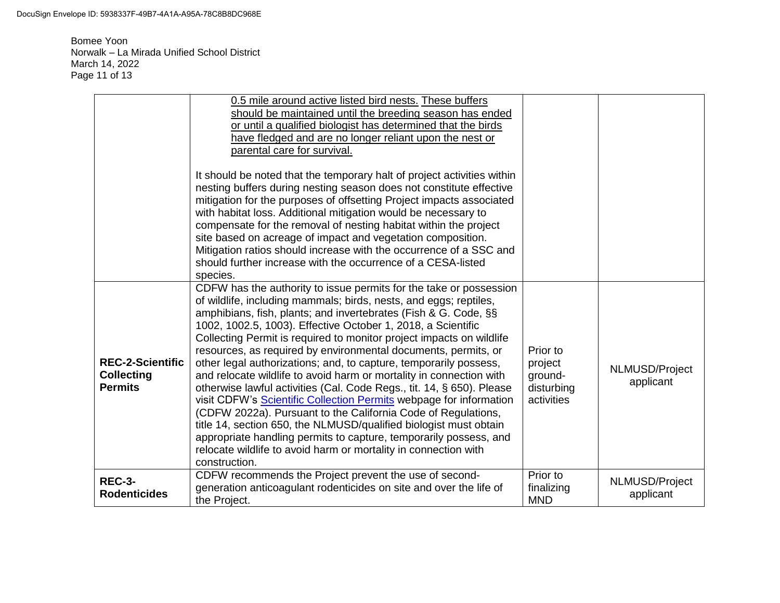Bomee Yoon Norwalk – La Mirada Unified School District March 14, 2022 Page 11 of 13

|                                                                | 0.5 mile around active listed bird nests. These buffers<br>should be maintained until the breeding season has ended<br>or until a qualified biologist has determined that the birds<br>have fledged and are no longer reliant upon the nest or<br>parental care for survival.<br>It should be noted that the temporary halt of project activities within<br>nesting buffers during nesting season does not constitute effective<br>mitigation for the purposes of offsetting Project impacts associated<br>with habitat loss. Additional mitigation would be necessary to<br>compensate for the removal of nesting habitat within the project<br>site based on acreage of impact and vegetation composition.<br>Mitigation ratios should increase with the occurrence of a SSC and<br>should further increase with the occurrence of a CESA-listed<br>species.                                                                                                                                                 |                                                            |                             |
|----------------------------------------------------------------|----------------------------------------------------------------------------------------------------------------------------------------------------------------------------------------------------------------------------------------------------------------------------------------------------------------------------------------------------------------------------------------------------------------------------------------------------------------------------------------------------------------------------------------------------------------------------------------------------------------------------------------------------------------------------------------------------------------------------------------------------------------------------------------------------------------------------------------------------------------------------------------------------------------------------------------------------------------------------------------------------------------|------------------------------------------------------------|-----------------------------|
| <b>REC-2-Scientific</b><br><b>Collecting</b><br><b>Permits</b> | CDFW has the authority to issue permits for the take or possession<br>of wildlife, including mammals; birds, nests, and eggs; reptiles,<br>amphibians, fish, plants; and invertebrates (Fish & G. Code, §§<br>1002, 1002.5, 1003). Effective October 1, 2018, a Scientific<br>Collecting Permit is required to monitor project impacts on wildlife<br>resources, as required by environmental documents, permits, or<br>other legal authorizations; and, to capture, temporarily possess,<br>and relocate wildlife to avoid harm or mortality in connection with<br>otherwise lawful activities (Cal. Code Regs., tit. 14, § 650). Please<br>visit CDFW's Scientific Collection Permits webpage for information<br>(CDFW 2022a). Pursuant to the California Code of Regulations,<br>title 14, section 650, the NLMUSD/qualified biologist must obtain<br>appropriate handling permits to capture, temporarily possess, and<br>relocate wildlife to avoid harm or mortality in connection with<br>construction. | Prior to<br>project<br>ground-<br>disturbing<br>activities | NLMUSD/Project<br>applicant |
| <b>REC-3-</b><br><b>Rodenticides</b>                           | CDFW recommends the Project prevent the use of second-<br>generation anticoagulant rodenticides on site and over the life of<br>the Project.                                                                                                                                                                                                                                                                                                                                                                                                                                                                                                                                                                                                                                                                                                                                                                                                                                                                   | Prior to<br>finalizing<br><b>MND</b>                       | NLMUSD/Project<br>applicant |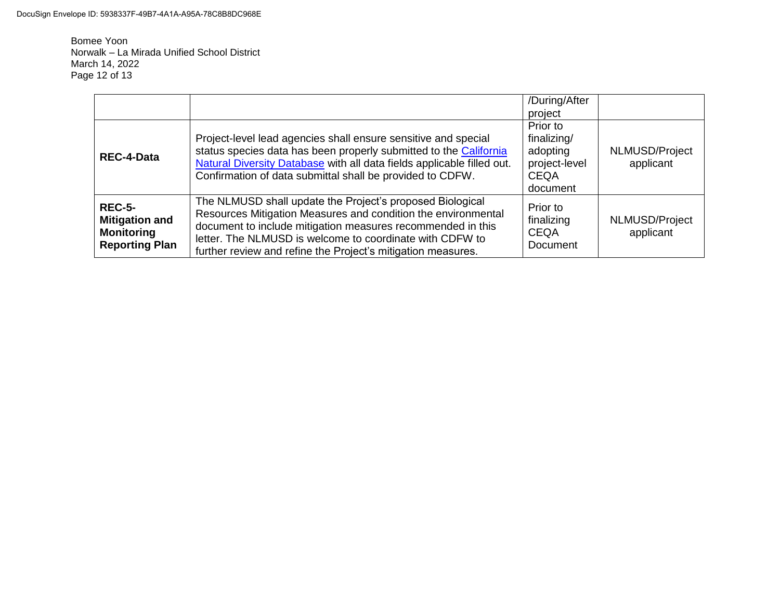Bomee Yoon Norwalk – La Mirada Unified School District March 14, 2022 Page 12 of 13

|                                                                                      |                                                                                                                                                                                                                                                                                                                       | /During/After<br>project                                                        |                             |
|--------------------------------------------------------------------------------------|-----------------------------------------------------------------------------------------------------------------------------------------------------------------------------------------------------------------------------------------------------------------------------------------------------------------------|---------------------------------------------------------------------------------|-----------------------------|
| <b>REC-4-Data</b>                                                                    | Project-level lead agencies shall ensure sensitive and special<br>status species data has been properly submitted to the California<br>Natural Diversity Database with all data fields applicable filled out.<br>Confirmation of data submittal shall be provided to CDFW.                                            | Prior to<br>finalizing/<br>adopting<br>project-level<br><b>CEQA</b><br>document | NLMUSD/Project<br>applicant |
| <b>REC-5-</b><br><b>Mitigation and</b><br><b>Monitoring</b><br><b>Reporting Plan</b> | The NLMUSD shall update the Project's proposed Biological<br>Resources Mitigation Measures and condition the environmental<br>document to include mitigation measures recommended in this<br>letter. The NLMUSD is welcome to coordinate with CDFW to<br>further review and refine the Project's mitigation measures. | Prior to<br>finalizing<br><b>CEQA</b><br>Document                               | NLMUSD/Project<br>applicant |